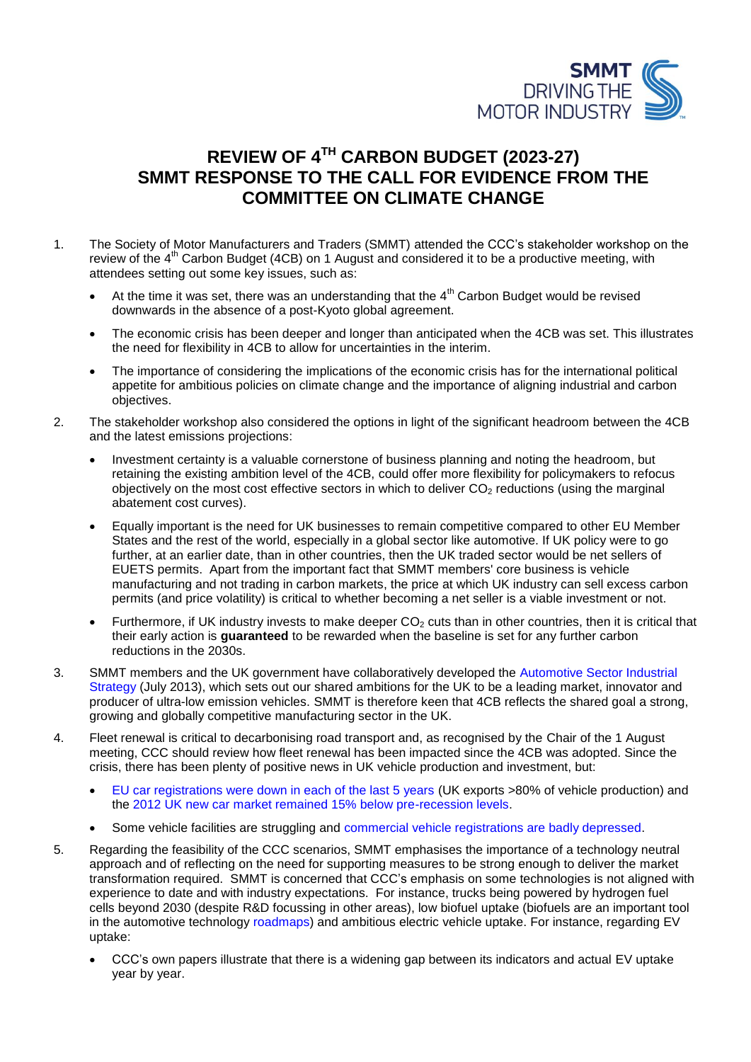

## **REVIEW OF 4TH CARBON BUDGET (2023-27) SMMT RESPONSE TO THE CALL FOR EVIDENCE FROM THE COMMITTEE ON CLIMATE CHANGE**

- 1. The Society of Motor Manufacturers and Traders (SMMT) attended the CCC's stakeholder workshop on the review of the  $4<sup>th</sup>$  Carbon Budget (4CB) on 1 August and considered it to be a productive meeting, with attendees setting out some key issues, such as:
	- At the time it was set, there was an understanding that the  $4<sup>th</sup>$  Carbon Budget would be revised downwards in the absence of a post-Kyoto global agreement.
	- The economic crisis has been deeper and longer than anticipated when the 4CB was set. This illustrates the need for flexibility in 4CB to allow for uncertainties in the interim.
	- The importance of considering the implications of the economic crisis has for the international political appetite for ambitious policies on climate change and the importance of aligning industrial and carbon objectives.
- 2. The stakeholder workshop also considered the options in light of the significant headroom between the 4CB and the latest emissions projections:
	- Investment certainty is a valuable cornerstone of business planning and noting the headroom, but retaining the existing ambition level of the 4CB, could offer more flexibility for policymakers to refocus objectively on the most cost effective sectors in which to deliver  $CO<sub>2</sub>$  reductions (using the marginal abatement cost curves).
	- Equally important is the need for UK businesses to remain competitive compared to other EU Member States and the rest of the world, especially in a global sector like automotive. If UK policy were to go further, at an earlier date, than in other countries, then the UK traded sector would be net sellers of EUETS permits. Apart from the important fact that SMMT members' core business is vehicle manufacturing and not trading in carbon markets, the price at which UK industry can sell excess carbon permits (and price volatility) is critical to whether becoming a net seller is a viable investment or not.
	- Furthermore, if UK industry invests to make deeper  $CO<sub>2</sub>$  cuts than in other countries, then it is critical that their early action is **guaranteed** to be rewarded when the baseline is set for any further carbon reductions in the 2030s.
- 3. SMMT members and the UK government have collaboratively developed the [Automotive Sector Industrial](https://www.gov.uk/government/publications/driving-success-uk-automotive-strategy-for-growth-and-sustainability)  [Strategy](https://www.gov.uk/government/publications/driving-success-uk-automotive-strategy-for-growth-and-sustainability) (July 2013), which sets out our shared ambitions for the UK to be a leading market, innovator and producer of ultra-low emission vehicles. SMMT is therefore keen that 4CB reflects the shared goal a strong, growing and globally competitive manufacturing sector in the UK.
- 4. Fleet renewal is critical to decarbonising road transport and, as recognised by the Chair of the 1 August meeting, CCC should review how fleet renewal has been impacted since the 4CB was adopted. Since the crisis, there has been plenty of positive news in UK vehicle production and investment, but:
	- [EU car registrations were down in each of the last 5 years](http://www.acea.be/images/uploads/files/20130116_pr_pc_gr3_A4.pdf) (UK exports >80% of vehicle production) and the [2012 UK new car market remained 15% below pre-recession levels.](http://www.smmt.co.uk/2013/01/2012-new-car-market-tops-two-million-units-hitting-four-year-high/)
	- Some vehicle facilities are struggling and [commercial vehicle registrations are badly depressed.](http://www.smmt.co.uk/wp-content/uploads/Full_Year_2012_van_truck_regs.png?9b6f83)
- 5. Regarding the feasibility of the CCC scenarios, SMMT emphasises the importance of a technology neutral approach and of reflecting on the need for supporting measures to be strong enough to deliver the market transformation required. SMMT is concerned that CCC's emphasis on some technologies is not aligned with experience to date and with industry expectations. For instance, trucks being powered by hydrogen fuel cells beyond 2030 (despite R&D focussing in other areas), low biofuel uptake (biofuels are an important tool in the automotive technology [roadmaps\)](http://www.automotivecouncil.co.uk/what-we-do/reports/) and ambitious electric vehicle uptake. For instance, regarding EV uptake:
	- CCC's own papers illustrate that there is a widening gap between its indicators and actual EV uptake year by year.